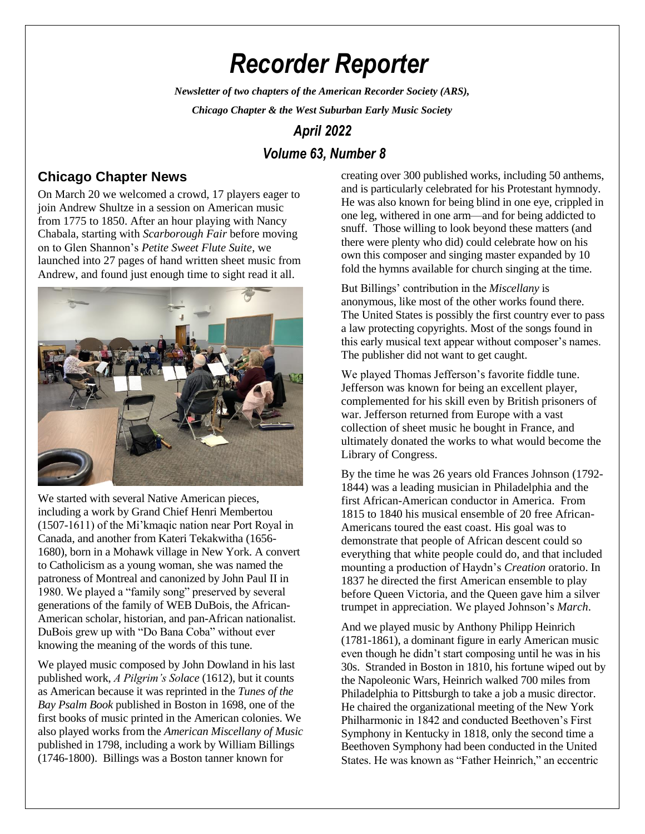# *Recorder Reporter*

*Newsletter of two chapters of the American Recorder Society (ARS),*

*Chicago Chapter & the West Suburban Early Music Society*

# *April 2022*

# *Volume 63, Number 8*

### **Chicago Chapter News**

On March 20 we welcomed a crowd, 17 players eager to join Andrew Shultze in a session on American music from 1775 to 1850. After an hour playing with Nancy Chabala, starting with *Scarborough Fair* before moving on to Glen Shannon's *Petite Sweet Flute Suite*, we launched into 27 pages of hand written sheet music from Andrew, and found just enough time to sight read it all.



We started with several Native American pieces, including a work by Grand Chief Henri Membertou (1507-1611) of the Mi'kmaqic nation near Port Royal in Canada, and another from Kateri Tekakwitha (1656- 1680), born in a Mohawk village in New York. A convert to Catholicism as a young woman, she was named the patroness of Montreal and canonized by John Paul II in 1980. We played a "family song" preserved by several generations of the family of WEB DuBois, the African-American scholar, historian, and pan-African nationalist. DuBois grew up with "Do Bana Coba" without ever knowing the meaning of the words of this tune.

We played music composed by John Dowland in his last published work, *A Pilgrim's Solace* (1612), but it counts as American because it was reprinted in the *Tunes of the Bay Psalm Book* published in Boston in 1698, one of the first books of music printed in the American colonies. We also played works from the *American Miscellany of Music* published in 1798, including a work by William Billings (1746-1800). Billings was a Boston tanner known for

creating over 300 published works, including 50 anthems, and is particularly celebrated for his Protestant hymnody. He was also known for being blind in one eye, crippled in one leg, withered in one arm—and for being addicted to snuff. Those willing to look beyond these matters (and there were plenty who did) could celebrate how on his own this composer and singing master expanded by 10 fold the hymns available for church singing at the time.

But Billings' contribution in the *Miscellany* is anonymous, like most of the other works found there. The United States is possibly the first country ever to pass a law protecting copyrights. Most of the songs found in this early musical text appear without composer's names. The publisher did not want to get caught.

We played Thomas Jefferson's favorite fiddle tune. Jefferson was known for being an excellent player, complemented for his skill even by British prisoners of war. Jefferson returned from Europe with a vast collection of sheet music he bought in France, and ultimately donated the works to what would become the Library of Congress.

By the time he was 26 years old Frances Johnson (1792- 1844) was a leading musician in Philadelphia and the first African-American conductor in America. From 1815 to 1840 his musical ensemble of 20 free African-Americans toured the east coast. His goal was to demonstrate that people of African descent could so everything that white people could do, and that included mounting a production of Haydn's *Creation* oratorio. In 1837 he directed the first American ensemble to play before Queen Victoria, and the Queen gave him a silver trumpet in appreciation. We played Johnson's *March*.

And we played music by Anthony Philipp Heinrich (1781-1861), a dominant figure in early American music even though he didn't start composing until he was in his 30s. Stranded in Boston in 1810, his fortune wiped out by the Napoleonic Wars, Heinrich walked 700 miles from Philadelphia to Pittsburgh to take a job a music director. He chaired the organizational meeting of the New York Philharmonic in 1842 and conducted Beethoven's First Symphony in Kentucky in 1818, only the second time a Beethoven Symphony had been conducted in the United States. He was known as "Father Heinrich," an eccentric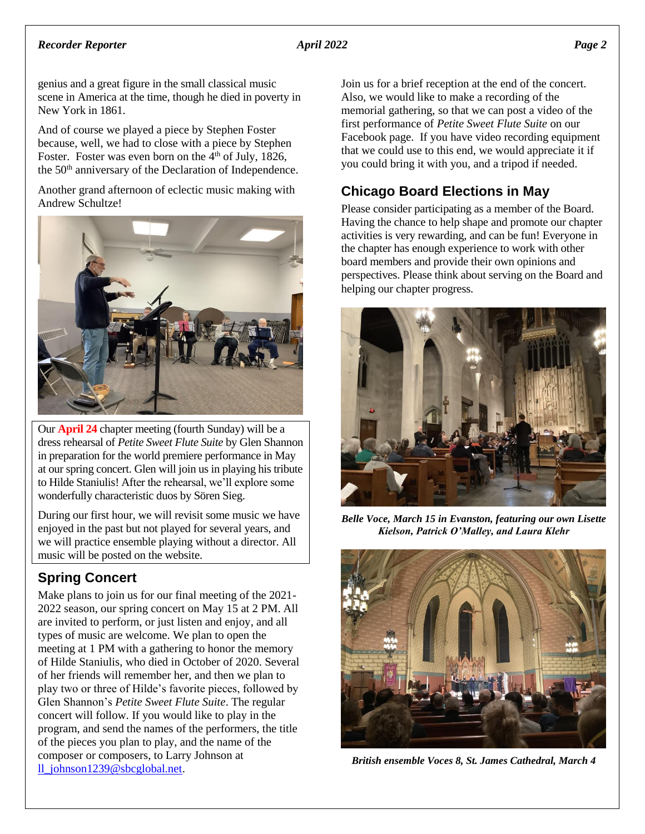### *Recorder Reporter April 2022 Page 2*

genius and a great figure in the small classical music scene in America at the time, though he died in poverty in New York in 1861.

And of course we played a piece by Stephen Foster because, well, we had to close with a piece by Stephen Foster. Foster was even born on the  $4<sup>th</sup>$  of July, 1826, the 50<sup>th</sup> anniversary of the Declaration of Independence.

Another grand afternoon of eclectic music making with Andrew Schultze!



Our **April 24** chapter meeting (fourth Sunday) will be a dress rehearsal of *Petite Sweet Flute Suite* by Glen Shannon in preparation for the world premiere performance in May at our spring concert. Glen will join us in playing his tribute to Hilde Staniulis! After the rehearsal, we'll explore some wonderfully characteristic duos by Sören Sieg.

During our first hour, we will revisit some music we have enjoyed in the past but not played for several years, and we will practice ensemble playing without a director. All music will be posted on the website.

## **Spring Concert**

Make plans to join us for our final meeting of the 2021- 2022 season, our spring concert on May 15 at 2 PM. All are invited to perform, or just listen and enjoy, and all types of music are welcome. We plan to open the meeting at 1 PM with a gathering to honor the memory of Hilde Staniulis, who died in October of 2020. Several of her friends will remember her, and then we plan to play two or three of Hilde's favorite pieces, followed by Glen Shannon's *Petite Sweet Flute Suite*. The regular concert will follow. If you would like to play in the program, and send the names of the performers, the title of the pieces you plan to play, and the name of the composer or composers, to Larry Johnson at [ll\\_johnson1239@sbcglobal.net.](mailto:ll_johnson1239@sbcglobal.net)

Join us for a brief reception at the end of the concert. Also, we would like to make a recording of the memorial gathering, so that we can post a video of the first performance of *Petite Sweet Flute Suite* on our Facebook page. If you have video recording equipment that we could use to this end, we would appreciate it if you could bring it with you, and a tripod if needed.

# **Chicago Board Elections in May**

Please consider participating as a member of the Board. Having the chance to help shape and promote our chapter activities is very rewarding, and can be fun! Everyone in the chapter has enough experience to work with other board members and provide their own opinions and perspectives. Please think about serving on the Board and helping our chapter progress.



*Belle Voce, March 15 in Evanston, featuring our own Lisette Kielson, Patrick O'Malley, and Laura Klehr*



*British ensemble Voces 8, St. James Cathedral, March 4*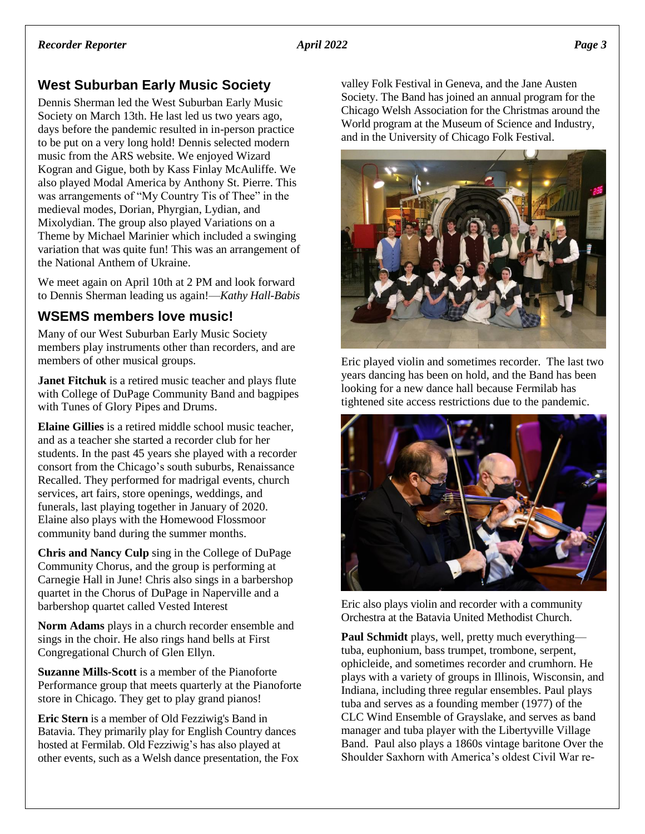### **West Suburban Early Music Society**

Dennis Sherman led the West Suburban Early Music Society on March 13th. He last led us two years ago, days before the pandemic resulted in in-person practice to be put on a very long hold! Dennis selected modern music from the ARS website. We enjoyed Wizard Kogran and Gigue, both by Kass Finlay McAuliffe. We also played Modal America by Anthony St. Pierre. This was arrangements of "My Country Tis of Thee" in the medieval modes, Dorian, Phyrgian, Lydian, and Mixolydian. The group also played Variations on a Theme by Michael Marinier which included a swinging variation that was quite fun! This was an arrangement of the National Anthem of Ukraine.

We meet again on April 10th at 2 PM and look forward to Dennis Sherman leading us again!—*Kathy Hall-Babis*

### **WSEMS members love music!**

Many of our West Suburban Early Music Society members play instruments other than recorders, and are members of other musical groups.

**Janet Fitchuk** is a retired music teacher and plays flute with College of DuPage Community Band and bagpipes with Tunes of Glory Pipes and Drums.

**Elaine Gillies** is a retired middle school music teacher, and as a teacher she started a recorder club for her students. In the past 45 years she played with a recorder consort from the Chicago's south suburbs, Renaissance Recalled. They performed for madrigal events, church services, art fairs, store openings, weddings, and funerals, last playing together in January of 2020. Elaine also plays with the Homewood Flossmoor community band during the summer months.

**Chris and Nancy Culp** sing in the College of DuPage Community Chorus, and the group is performing at Carnegie Hall in June! Chris also sings in a barbershop quartet in the Chorus of DuPage in Naperville and a barbershop quartet called Vested Interest

**Norm Adams** plays in a church recorder ensemble and sings in the choir. He also rings hand bells at First Congregational Church of Glen Ellyn.

**Suzanne Mills-Scott** is a member of the Pianoforte Performance group that meets quarterly at the Pianoforte store in Chicago. They get to play grand pianos!

**Eric Stern** is a member of Old Fezziwig's Band in Batavia. They primarily play for English Country dances hosted at Fermilab. Old Fezziwig's has also played at other events, such as a Welsh dance presentation, the Fox valley Folk Festival in Geneva, and the Jane Austen Society. The Band has joined an annual program for the Chicago Welsh Association for the Christmas around the World program at the Museum of Science and Industry, and in the University of Chicago Folk Festival.



Eric played violin and sometimes recorder. The last two years dancing has been on hold, and the Band has been looking for a new dance hall because Fermilab has tightened site access restrictions due to the pandemic.



Eric also plays violin and recorder with a community Orchestra at the Batavia United Methodist Church.

**Paul Schmidt** plays, well, pretty much everything tuba, euphonium, bass trumpet, trombone, serpent, ophicleide, and sometimes recorder and crumhorn. He plays with a variety of groups in Illinois, Wisconsin, and Indiana, including three regular ensembles. Paul plays tuba and serves as a founding member (1977) of the CLC Wind Ensemble of Grayslake, and serves as band manager and tuba player with the Libertyville Village Band. Paul also plays a 1860s vintage baritone Over the Shoulder Saxhorn with America's oldest Civil War re-